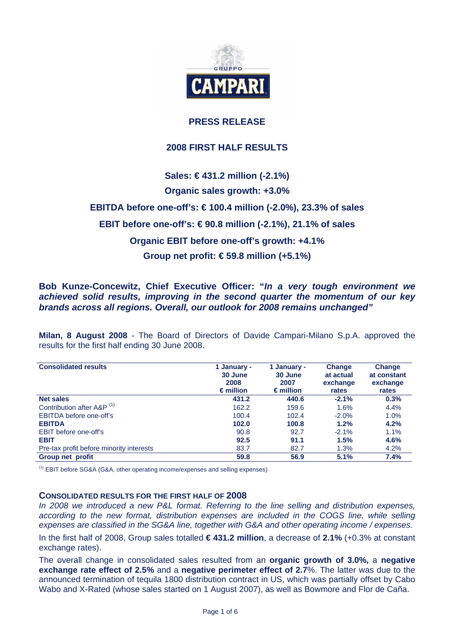

# **PRESS RELEASE**

# **2008 FIRST HALF RESULTS**

# **Sales: € 431.2 million (-2.1%)**

# **Organic sales growth: +3.0%**

**EBITDA before one-off's: € 100.4 million (-2.0%), 23.3% of sales** 

# **EBIT before one-off's: € 90.8 million (-2.1%), 21.1% of sales**

# **Organic EBIT before one-off's growth: +4.1%**

# **Group net profit: € 59.8 million (+5.1%)**

# **Bob Kunze-Concewitz, Chief Executive Officer: "***In a very tough environment we achieved solid results, improving in the second quarter the momentum of our key brands across all regions. Overall, our outlook for 2008 remains unchanged"*

**Milan, 8 August 2008** - The Board of Directors of Davide Campari-Milano S.p.A. approved the results for the first half ending 30 June 2008.

| <b>Consolidated results</b>              | 1 January -<br>30 June<br>2008<br>$\epsilon$ million | 1 January -<br>30 June<br>2007<br>$\epsilon$ million | Change<br>at actual<br>exchange<br>rates | <b>Change</b><br>at constant<br>exchange<br>rates |
|------------------------------------------|------------------------------------------------------|------------------------------------------------------|------------------------------------------|---------------------------------------------------|
| <b>Net sales</b>                         | 431.2                                                | 440.6                                                | $-2.1%$                                  | 0.3%                                              |
| Contribution after A&P <sup>(1)</sup>    | 162.2                                                | 159.6                                                | 1.6%                                     | 4.4%                                              |
| EBITDA before one-off's                  | 100.4                                                | 102.4                                                | $-2.0\%$                                 | 1.0%                                              |
| <b>EBITDA</b>                            | 102.0                                                | 100.8                                                | 1.2%                                     | 4.2%                                              |
| EBIT before one-off's                    | 90.8                                                 | 92.7                                                 | $-2.1%$                                  | 1.1%                                              |
| <b>EBIT</b>                              | 92.5                                                 | 91.1                                                 | 1.5%                                     | 4.6%                                              |
| Pre-tax profit before minority interests | 83.7                                                 | 82.7                                                 | 1.3%                                     | 4.2%                                              |
| Group net profit                         | 59.8                                                 | 56.9                                                 | 5.1%                                     | 7.4%                                              |

(1) EBIT before SG&A (G&A, other operating income/expenses and selling expenses)

# **CONSOLIDATED RESULTS FOR THE FIRST HALF OF 2008**

*In 2008 we introduced a new P&L format. Referring to the line selling and distribution expenses,*  according to the new format, distribution expenses are included in the COGS line, while selling *expenses are classified in the SG&A line, together with G&A and other operating income / expenses.* 

In the first half of 2008, Group sales totalled **€ 431.2 million**, a decrease of **2.1%** (+0.3% at constant exchange rates).

The overall change in consolidated sales resulted from an **organic growth of 3.0%,** a **negative exchange rate effect of 2.5%** and a **negative perimeter effect of 2.7**%. The latter was due to the announced termination of tequila 1800 distribution contract in US, which was partially offset by Cabo Wabo and X-Rated (whose sales started on 1 August 2007), as well as Bowmore and Flor de Caña.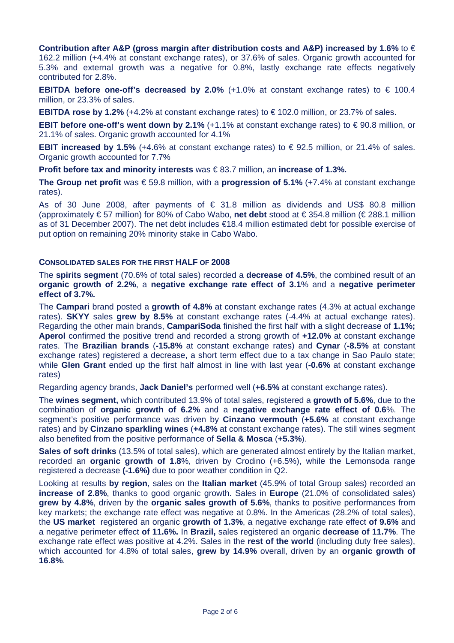**Contribution after A&P (gross margin after distribution costs and A&P) increased by 1.6%** to € 162.2 million (+4.4% at constant exchange rates), or 37.6% of sales. Organic growth accounted for 5.3% and external growth was a negative for 0.8%, lastly exchange rate effects negatively contributed for 2.8%.

**EBITDA before one-off's decreased by 2.0%**  $(+1.0\%$  at constant exchange rates) to  $\in$  100.4 million, or 23.3% of sales.

**EBITDA rose by 1.2%** (+4.2% at constant exchange rates) to € 102.0 million, or 23.7% of sales.

**EBIT before one-off's went down by 2.1%** (+1.1% at constant exchange rates) to € 90.8 million, or 21.1% of sales. Organic growth accounted for 4.1%

**EBIT increased by 1.5%** (+4.6% at constant exchange rates) to € 92.5 million, or 21.4% of sales. Organic growth accounted for 7.7%

**Profit before tax and minority interests** was € 83.7 million, an **increase of 1.3%.**

**The Group net profit** was € 59.8 million, with a **progression of 5.1%** (+7.4% at constant exchange rates).

As of 30 June 2008, after payments of  $\epsilon$  31.8 million as dividends and US\$ 80.8 million (approximately € 57 million) for 80% of Cabo Wabo, **net debt** stood at € 354.8 million (€ 288.1 million as of 31 December 2007). The net debt includes €18.4 million estimated debt for possible exercise of put option on remaining 20% minority stake in Cabo Wabo.

# **CONSOLIDATED SALES FOR THE FIRST HALF OF 2008**

The **spirits segment** (70.6% of total sales) recorded a **decrease of 4.5%**, the combined result of an **organic growth of 2.2%**, a **negative exchange rate effect of 3.1**% and a **negative perimeter effect of 3.7%.** 

The **Campari** brand posted a **growth of 4.8%** at constant exchange rates (4.3% at actual exchange rates). **SKYY** sales **grew by 8.5%** at constant exchange rates (-4.4% at actual exchange rates). Regarding the other main brands, **CampariSoda** finished the first half with a slight decrease of **1.1%; Aperol** confirmed the positive trend and recorded a strong growth of **+12.0%** at constant exchange rates. The **Brazilian brands** (**-15.8%** at constant exchange rates) and **Cynar** (**-8.5%** at constant exchange rates) registered a decrease, a short term effect due to a tax change in Sao Paulo state; while **Glen Grant** ended up the first half almost in line with last year (**-0.6%** at constant exchange rates)

Regarding agency brands, **Jack Daniel's** performed well (**+6.5%** at constant exchange rates).

The **wines segment,** which contributed 13.9% of total sales, registered a **growth of 5.6%**, due to the combination of **organic growth of 6.2%** and a **negative exchange rate effect of 0.6**%. The segment's positive performance was driven by **Cinzano vermouth** (**+5.6%** at constant exchange rates) and by **Cinzano sparkling wines** (**+4.8%** at constant exchange rates). The still wines segment also benefited from the positive performance of **Sella & Mosca** (**+5.3%**).

**Sales of soft drinks** (13.5% of total sales), which are generated almost entirely by the Italian market, recorded an **organic growth of 1.8**%, driven by Crodino (+6.5%), while the Lemonsoda range registered a decrease **(-1.6%)** due to poor weather condition in Q2.

Looking at results **by region**, sales on the **Italian market** (45.9% of total Group sales) recorded an **increase of 2.8%**, thanks to good organic growth. Sales in **Europe** (21.0% of consolidated sales) **grew by 4.8%**, driven by the **organic sales growth of 5.6%**, thanks to positive performances from key markets; the exchange rate effect was negative at 0.8%. In the Americas (28.2% of total sales), the **US market** registered an organic **growth of 1.3%**, a negative exchange rate effect **of 9.6%** and a negative perimeter effect **of 11.6%.** In **Brazil,** sales registered an organic **decrease of 11.7%**. The exchange rate effect was positive at 4.2%. Sales in the **rest of the world** (including duty free sales), which accounted for 4.8% of total sales, **grew by 14.9%** overall, driven by an **organic growth of 16.8%**.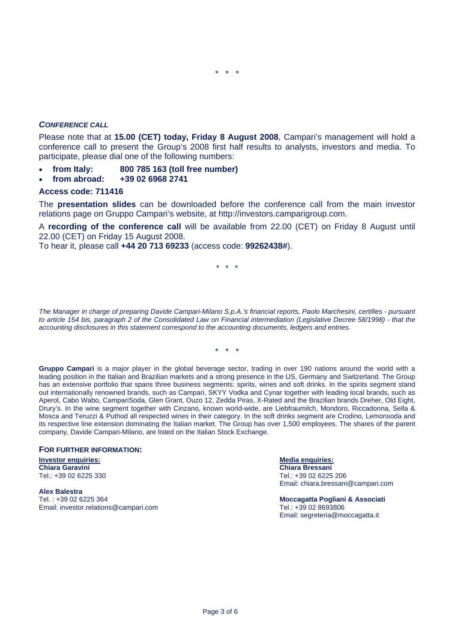## *CONFERENCE CALL*

Please note that at **15.00 (CET) today, Friday 8 August 2008**, Campari's management will hold a conference call to present the Group's 2008 first half results to analysts, investors and media. To participate, please dial one of the following numbers:

- **from Italy: 800 785 163 (toll free number)**
- **from abroad: +39 02 6968 2741**

### **Access code: 711416**

The **presentation slides** can be downloaded before the conference call from the main investor relations page on Gruppo Campari's website, at http://investors.camparigroup.com.

A **recording of the conference call** will be available from 22.00 (CET) on Friday 8 August until 22.00 (CET) on Friday 15 August 2008.

To hear it, please call **+44 20 713 69233** (access code: **99262438#**).

\* \* \*

*The Manager in charge of preparing Davide Campari-Milano S.p.A.'s financial reports, Paolo Marchesini, certifies - pursuant to article 154 bis, paragraph 2 of the Consolidated Law on Financial intermediation (Legislative Decree 58/1998) - that the accounting disclosures in this statement correspond to the accounting documents, ledgers and entries.* 

\* \* \*

Gruppo Campari is a major player in the global beverage sector, trading in over 190 nations around the world with a leading position in the Italian and Brazilian markets and a strong presence in the US, Germany and Switzerland. The Group has an extensive portfolio that spans three business segments: spirits, wines and soft drinks. In the spirits segment stand out internationally renowned brands, such as Campari, SKYY Vodka and Cynar together with leading local brands, such as Aperol, Cabo Wabo, CampariSoda, Glen Grant, Ouzo 12, Zedda Piras, X-Rated and the Brazilian brands Dreher, Old Eight, Drury's. In the wine segment together with Cinzano, known world-wide, are Liebfraumilch, Mondoro, Riccadonna, Sella & Mosca and Teruzzi & Puthod all respected wines in their category. In the soft drinks segment are Crodino, Lemonsoda and its respective line extension dominating the Italian market. The Group has over 1,500 employees. The shares of the parent company, Davide Campari-Milano, are listed on the Italian Stock Exchange.

### **FOR FURTHER INFORMATION:**

# **Investor enquiries: Media enquiries:** Tel.: +39 02 6225 330 Tel.: +39 02 6225 206

**Alex Balestra**  Tel. : +39 02 6225 364 **Moccagatta Pogliani & Associati**  Email: investor.relations@campari.com Tel.: +39 02 8693806

**Chiara Bressani** Email: chiara.bressani@campari.com

Email: segreteria@moccagatta.it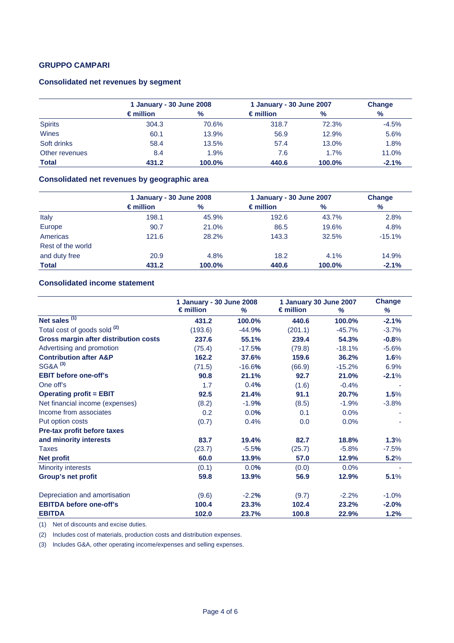# **GRUPPO CAMPARI**

# **Consolidated net revenues by segment**

|                | 1 January - 30 June 2008 |        | 1 January - 30 June 2007 |        | Change  |  |
|----------------|--------------------------|--------|--------------------------|--------|---------|--|
|                | $\epsilon$ million       | $\%$   | $\epsilon$ million       | $\%$   | $\%$    |  |
| <b>Spirits</b> | 304.3                    | 70.6%  | 318.7                    | 72.3%  | $-4.5%$ |  |
| Wines          | 60.1                     | 13.9%  | 56.9                     | 12.9%  | 5.6%    |  |
| Soft drinks    | 58.4                     | 13.5%  | 57.4                     | 13.0%  | 1.8%    |  |
| Other revenues | 8.4                      | 1.9%   | 7.6                      | 1.7%   | 11.0%   |  |
| <b>Total</b>   | 431.2                    | 100.0% | 440.6                    | 100.0% | $-2.1%$ |  |

### **Consolidated net revenues by geographic area**

|                   | 1 January - 30 June 2008 |        | 1 January - 30 June 2007 |        | <b>Change</b> |
|-------------------|--------------------------|--------|--------------------------|--------|---------------|
|                   | $\epsilon$ million       | $\%$   | $\epsilon$ million       | $\%$   | %             |
| Italy             | 198.1                    | 45.9%  | 192.6                    | 43.7%  | 2.8%          |
| Europe            | 90.7                     | 21.0%  | 86.5                     | 19.6%  | 4.8%          |
| Americas          | 121.6                    | 28.2%  | 143.3                    | 32.5%  | $-15.1%$      |
| Rest of the world |                          |        |                          |        |               |
| and duty free     | 20.9                     | 4.8%   | 18.2                     | 4.1%   | 14.9%         |
| <b>Total</b>      | 431.2                    | 100.0% | 440.6                    | 100.0% | $-2.1%$       |

# **Consolidated income statement**

|                                              | 1 January - 30 June 2008 |          | 1 January 30 June 2007 |          | Change  |
|----------------------------------------------|--------------------------|----------|------------------------|----------|---------|
|                                              | $\epsilon$ million       | %        | $\epsilon$ million     | %        | %       |
| Net sales $(1)$                              | 431.2                    | 100.0%   | 440.6                  | 100.0%   | $-2.1%$ |
| Total cost of goods sold <sup>(2)</sup>      | (193.6)                  | $-44.9%$ | (201.1)                | $-45.7%$ | $-3.7%$ |
| <b>Gross margin after distribution costs</b> | 237.6                    | 55.1%    | 239.4                  | 54.3%    | $-0.8%$ |
| Advertising and promotion                    | (75.4)                   | $-17.5%$ | (79.8)                 | $-18.1%$ | $-5.6%$ |
| <b>Contribution after A&amp;P</b>            | 162.2                    | 37.6%    | 159.6                  | 36.2%    | 1.6%    |
| SG&A <sup>(3)</sup>                          | (71.5)                   | $-16.6%$ | (66.9)                 | $-15.2%$ | 6.9%    |
| <b>EBIT before one-off's</b>                 | 90.8                     | 21.1%    | 92.7                   | 21.0%    | $-2.1%$ |
| One off's                                    | 1.7                      | 0.4%     | (1.6)                  | $-0.4%$  |         |
| <b>Operating profit = EBIT</b>               | 92.5                     | 21.4%    | 91.1                   | 20.7%    | 1.5%    |
| Net financial income (expenses)              | (8.2)                    | $-1.9%$  | (8.5)                  | $-1.9%$  | $-3.8%$ |
| Income from associates                       | 0.2                      | 0.0%     | 0.1                    | 0.0%     |         |
| Put option costs                             | (0.7)                    | 0.4%     | 0.0                    | 0.0%     |         |
| Pre-tax profit before taxes                  |                          |          |                        |          |         |
| and minority interests                       | 83.7                     | 19.4%    | 82.7                   | 18.8%    | 1.3%    |
| Taxes                                        | (23.7)                   | $-5.5%$  | (25.7)                 | $-5.8%$  | $-7.5%$ |
| <b>Net profit</b>                            | 60.0                     | 13.9%    | 57.0                   | 12.9%    | 5.2%    |
| <b>Minority interests</b>                    | (0.1)                    | 0.0%     | (0.0)                  | 0.0%     |         |
| Group's net profit                           | 59.8                     | 13.9%    | 56.9                   | 12.9%    | 5.1%    |
| Depreciation and amortisation                | (9.6)                    | $-2.2%$  | (9.7)                  | $-2.2%$  | $-1.0%$ |
| <b>EBITDA before one-off's</b>               | 100.4                    | 23.3%    | 102.4                  | 23.2%    | $-2.0%$ |
| <b>EBITDA</b>                                | 102.0                    | 23.7%    | 100.8                  | 22.9%    | 1.2%    |

(1) Net of discounts and excise duties.

(2) Includes cost of materials, production costs and distribution expenses.

(3) Includes G&A, other operating income/expenses and selling expenses.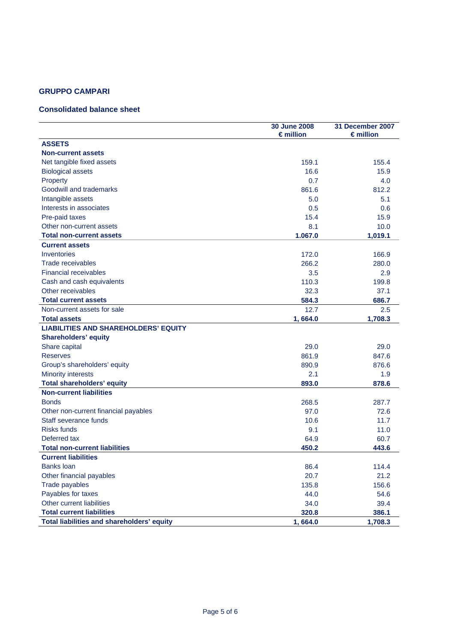# **GRUPPO CAMPARI**

# **Consolidated balance sheet**

|                                             | 30 June 2008<br>$\epsilon$ million | 31 December 2007<br>$\epsilon$ million |
|---------------------------------------------|------------------------------------|----------------------------------------|
| <b>ASSETS</b>                               |                                    |                                        |
| <b>Non-current assets</b>                   |                                    |                                        |
| Net tangible fixed assets                   | 159.1                              | 155.4                                  |
| <b>Biological assets</b>                    | 16.6                               | 15.9                                   |
| Property                                    | 0.7                                | 4.0                                    |
| Goodwill and trademarks                     | 861.6                              | 812.2                                  |
| Intangible assets                           | 5.0                                | 5.1                                    |
| Interests in associates                     | 0.5                                | 0.6                                    |
| Pre-paid taxes                              | 15.4                               | 15.9                                   |
| Other non-current assets                    | 8.1                                | 10.0                                   |
| <b>Total non-current assets</b>             | 1.067.0                            | 1,019.1                                |
| <b>Current assets</b>                       |                                    |                                        |
| Inventories                                 | 172.0                              | 166.9                                  |
| Trade receivables                           | 266.2                              | 280.0                                  |
| <b>Financial receivables</b>                | 3.5                                | 2.9                                    |
| Cash and cash equivalents                   | 110.3                              | 199.8                                  |
| Other receivables                           | 32.3                               | 37.1                                   |
| <b>Total current assets</b>                 | 584.3                              | 686.7                                  |
| Non-current assets for sale                 | 12.7                               | 2.5                                    |
| <b>Total assets</b>                         | 1,664.0                            | 1,708.3                                |
| <b>LIABILITIES AND SHAREHOLDERS' EQUITY</b> |                                    |                                        |
| <b>Shareholders' equity</b>                 |                                    |                                        |
| Share capital                               | 29.0                               | 29.0                                   |
| <b>Reserves</b>                             | 861.9                              | 847.6                                  |
| Group's shareholders' equity                | 890.9                              | 876.6                                  |
| <b>Minority interests</b>                   | 2.1                                | 1.9                                    |
| <b>Total shareholders' equity</b>           | 893.0                              | 878.6                                  |
| <b>Non-current liabilities</b>              |                                    |                                        |
| <b>Bonds</b>                                | 268.5                              | 287.7                                  |
| Other non-current financial payables        | 97.0                               | 72.6                                   |
| Staff severance funds                       | 10.6                               | 11.7                                   |
| <b>Risks funds</b>                          | 9.1                                | 11.0                                   |
| Deferred tax                                | 64.9                               | 60.7                                   |
| <b>Total non-current liabilities</b>        | 450.2                              | 443.6                                  |
| <b>Current liabilities</b>                  |                                    |                                        |
| <b>Banks loan</b>                           | 86.4                               | 114.4                                  |
| Other financial payables                    | 20.7                               | 21.2                                   |
| Trade payables                              | 135.8                              | 156.6                                  |
| Payables for taxes                          | 44.0                               | 54.6                                   |
| Other current liabilities                   | 34.0                               | 39.4                                   |
| <b>Total current liabilities</b>            | 320.8                              | 386.1                                  |
| Total liabilities and shareholders' equity  | 1,664.0                            | 1,708.3                                |